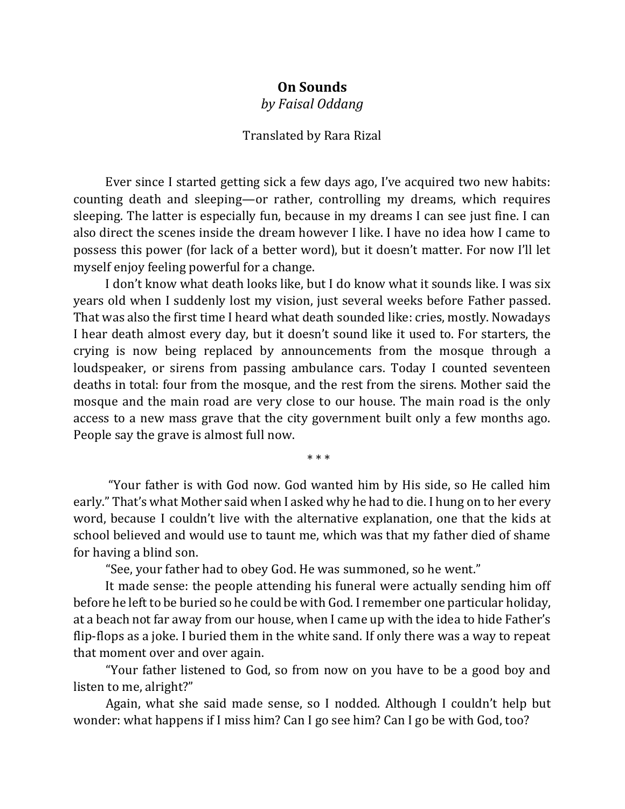## **On Sounds**

*by Faisal Oddang*

## Translated by Rara Rizal

Ever since I started getting sick a few days ago, I've acquired two new habits: counting death and sleeping—or rather, controlling my dreams, which requires sleeping. The latter is especially fun, because in my dreams I can see just fine. I can also direct the scenes inside the dream however I like. I have no idea how I came to possess this power (for lack of a better word), but it doesn't matter. For now I'll let myself enjoy feeling powerful for a change.

I don't know what death looks like, but I do know what it sounds like. I was six years old when I suddenly lost my vision, just several weeks before Father passed. That was also the first time I heard what death sounded like: cries, mostly. Nowadays I hear death almost every day, but it doesn't sound like it used to. For starters, the crying is now being replaced by announcements from the mosque through a loudspeaker, or sirens from passing ambulance cars. Today I counted seventeen deaths in total: four from the mosque, and the rest from the sirens. Mother said the mosque and the main road are very close to our house. The main road is the only access to a new mass grave that the city government built only a few months ago. People say the grave is almost full now.

\* \* \*

"Your father is with God now. God wanted him by His side, so He called him early." That's what Mother said when I asked why he had to die. I hung on to her every word, because I couldn't live with the alternative explanation, one that the kids at school believed and would use to taunt me, which was that my father died of shame for having a blind son.

"See, your father had to obey God. He was summoned, so he went."

It made sense: the people attending his funeral were actually sending him off before he left to be buried so he could be with God. I remember one particular holiday, at a beach not far away from our house, when I came up with the idea to hide Father's flip-flops as a joke. I buried them in the white sand. If only there was a way to repeat that moment over and over again.

"Your father listened to God, so from now on you have to be a good boy and listen to me, alright?"

Again, what she said made sense, so I nodded. Although I couldn't help but wonder: what happens if I miss him? Can I go see him? Can I go be with God, too?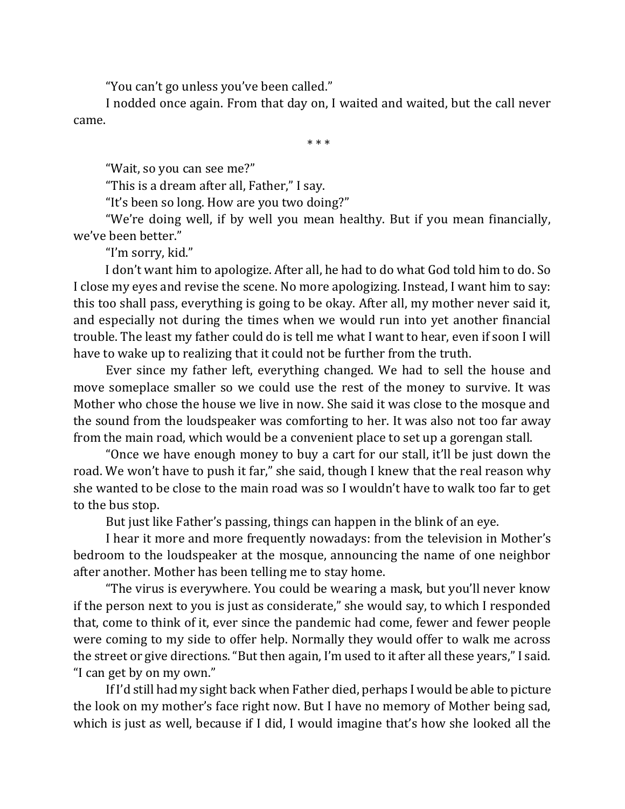"You can't go unless you've been called."

I nodded once again. From that day on, I waited and waited, but the call never came.

\* \* \*

"Wait, so you can see me?"

"This is a dream after all, Father," I say.

"It's been so long. How are you two doing?"

"We're doing well, if by well you mean healthy. But if you mean financially, we've been better."

"I'm sorry, kid."

I don't want him to apologize. After all, he had to do what God told him to do. So I close my eyes and revise the scene. No more apologizing. Instead, I want him to say: this too shall pass, everything is going to be okay. After all, my mother never said it, and especially not during the times when we would run into yet another financial trouble. The least my father could do is tell me what I want to hear, even if soon I will have to wake up to realizing that it could not be further from the truth.

Ever since my father left, everything changed. We had to sell the house and move someplace smaller so we could use the rest of the money to survive. It was Mother who chose the house we live in now. She said it was close to the mosque and the sound from the loudspeaker was comforting to her. It was also not too far away from the main road, which would be a convenient place to set up a gorengan stall.

"Once we have enough money to buy a cart for our stall, it'll be just down the road. We won't have to push it far," she said, though I knew that the real reason why she wanted to be close to the main road was so I wouldn't have to walk too far to get to the bus stop.

But just like Father's passing, things can happen in the blink of an eye.

I hear it more and more frequently nowadays: from the television in Mother's bedroom to the loudspeaker at the mosque, announcing the name of one neighbor after another. Mother has been telling me to stay home.

"The virus is everywhere. You could be wearing a mask, but you'll never know if the person next to you is just as considerate," she would say, to which I responded that, come to think of it, ever since the pandemic had come, fewer and fewer people were coming to my side to offer help. Normally they would offer to walk me across the street or give directions. "But then again, I'm used to it after all these years," I said. "I can get by on my own."

If I'd still had my sight back when Father died, perhaps I would be able to picture the look on my mother's face right now. But I have no memory of Mother being sad, which is just as well, because if I did, I would imagine that's how she looked all the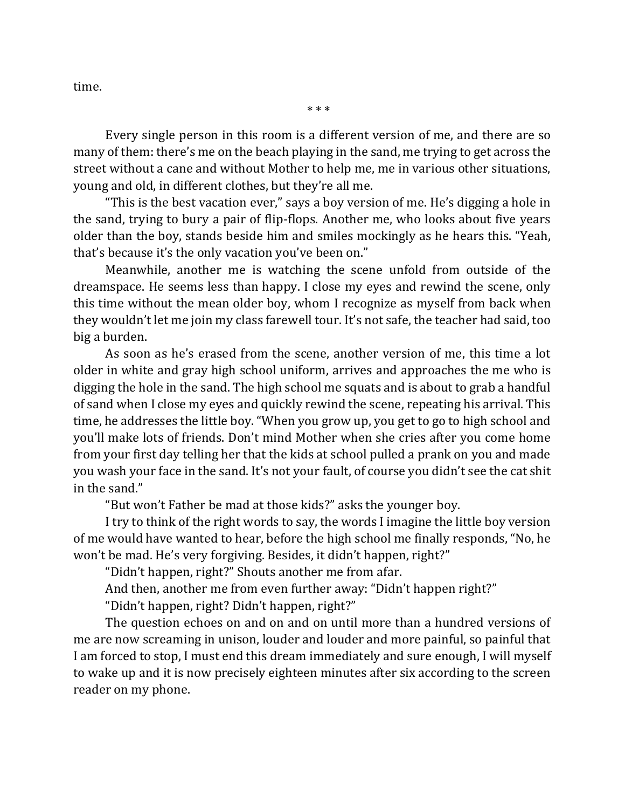time.

Every single person in this room is a different version of me, and there are so many of them: there's me on the beach playing in the sand, me trying to get across the street without a cane and without Mother to help me, me in various other situations, young and old, in different clothes, but they're all me.

"This is the best vacation ever," says a boy version of me. He's digging a hole in the sand, trying to bury a pair of flip-flops. Another me, who looks about five years older than the boy, stands beside him and smiles mockingly as he hears this. "Yeah, that's because it's the only vacation you've been on."

Meanwhile, another me is watching the scene unfold from outside of the dreamspace. He seems less than happy. I close my eyes and rewind the scene, only this time without the mean older boy, whom I recognize as myself from back when they wouldn't let me join my class farewell tour. It's not safe, the teacher had said, too big a burden.

As soon as he's erased from the scene, another version of me, this time a lot older in white and gray high school uniform, arrives and approaches the me who is digging the hole in the sand. The high school me squats and is about to grab a handful of sand when I close my eyes and quickly rewind the scene, repeating his arrival. This time, he addresses the little boy. "When you grow up, you get to go to high school and you'll make lots of friends. Don't mind Mother when she cries after you come home from your first day telling her that the kids at school pulled a prank on you and made you wash your face in the sand. It's not your fault, of course you didn't see the cat shit in the sand."

"But won't Father be mad at those kids?" asks the younger boy.

I try to think of the right words to say, the words I imagine the little boy version of me would have wanted to hear, before the high school me finally responds, "No, he won't be mad. He's very forgiving. Besides, it didn't happen, right?"

"Didn't happen, right?" Shouts another me from afar.

And then, another me from even further away: "Didn't happen right?"

"Didn't happen, right? Didn't happen, right?"

The question echoes on and on and on until more than a hundred versions of me are now screaming in unison, louder and louder and more painful, so painful that I am forced to stop, I must end this dream immediately and sure enough, I will myself to wake up and it is now precisely eighteen minutes after six according to the screen reader on my phone.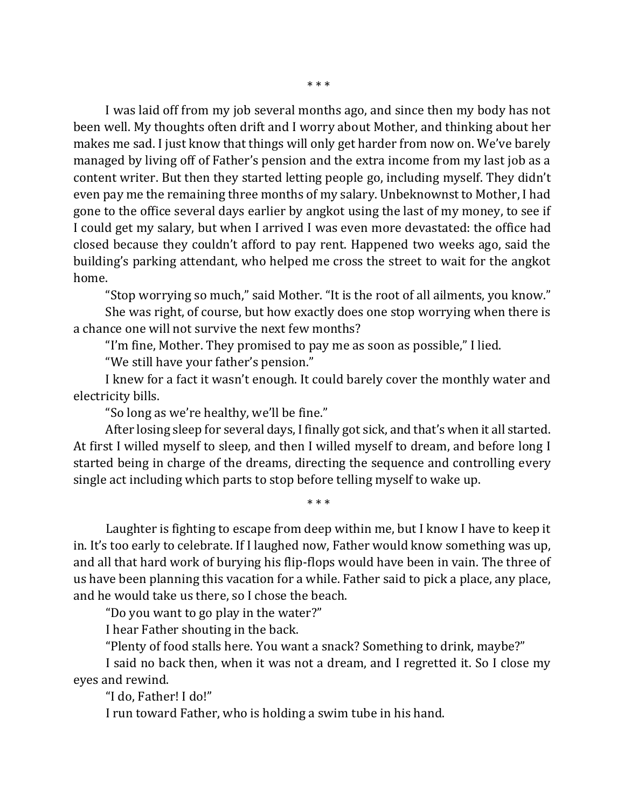I was laid off from my job several months ago, and since then my body has not been well. My thoughts often drift and I worry about Mother, and thinking about her makes me sad. I just know that things will only get harder from now on. We've barely managed by living off of Father's pension and the extra income from my last job as a content writer. But then they started letting people go, including myself. They didn't even pay me the remaining three months of my salary. Unbeknownst to Mother, I had gone to the office several days earlier by angkot using the last of my money, to see if I could get my salary, but when I arrived I was even more devastated: the office had closed because they couldn't afford to pay rent. Happened two weeks ago, said the building's parking attendant, who helped me cross the street to wait for the angkot home.

"Stop worrying so much," said Mother. "It is the root of all ailments, you know."

She was right, of course, but how exactly does one stop worrying when there is a chance one will not survive the next few months?

"I'm fine, Mother. They promised to pay me as soon as possible," I lied.

"We still have your father's pension."

I knew for a fact it wasn't enough. It could barely cover the monthly water and electricity bills.

"So long as we're healthy, we'll be fine."

After losing sleep for several days, I finally got sick, and that's when it all started. At first I willed myself to sleep, and then I willed myself to dream, and before long I started being in charge of the dreams, directing the sequence and controlling every single act including which parts to stop before telling myself to wake up.

\* \* \*

Laughter is fighting to escape from deep within me, but I know I have to keep it in. It's too early to celebrate. If I laughed now, Father would know something was up, and all that hard work of burying his flip-flops would have been in vain. The three of us have been planning this vacation for a while. Father said to pick a place, any place, and he would take us there, so I chose the beach.

"Do you want to go play in the water?"

I hear Father shouting in the back.

"Plenty of food stalls here. You want a snack? Something to drink, maybe?"

I said no back then, when it was not a dream, and I regretted it. So I close my eyes and rewind.

"I do, Father! I do!"

I run toward Father, who is holding a swim tube in his hand.